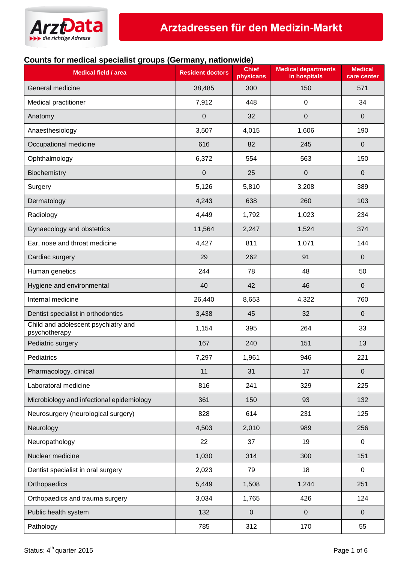

## **Counts for medical specialist groups (Germany, nationwide)**

| <b>Medical field / area</b>                          | <b>Resident doctors</b> | <b>Chief</b><br>physicans | <b>Medical departments</b><br>in hospitals | <b>Medical</b><br>care center |
|------------------------------------------------------|-------------------------|---------------------------|--------------------------------------------|-------------------------------|
| General medicine                                     | 38,485                  | 300                       | 150                                        | 571                           |
| Medical practitioner                                 | 7,912                   | 448                       | $\mathbf 0$                                | 34                            |
| Anatomy                                              | $\mathbf 0$             | 32                        | $\mathbf 0$                                | $\mathbf 0$                   |
| Anaesthesiology                                      | 3,507                   | 4,015                     | 1,606                                      | 190                           |
| Occupational medicine                                | 616                     | 82                        | 245                                        | $\pmb{0}$                     |
| Ophthalmology                                        | 6,372                   | 554                       | 563                                        | 150                           |
| Biochemistry                                         | $\mathbf 0$             | 25                        | $\mathbf 0$                                | 0                             |
| Surgery                                              | 5,126                   | 5,810                     | 3,208                                      | 389                           |
| Dermatology                                          | 4,243                   | 638                       | 260                                        | 103                           |
| Radiology                                            | 4,449                   | 1,792                     | 1,023                                      | 234                           |
| Gynaecology and obstetrics                           | 11,564                  | 2,247                     | 1,524                                      | 374                           |
| Ear, nose and throat medicine                        | 4,427                   | 811                       | 1,071                                      | 144                           |
| Cardiac surgery                                      | 29                      | 262                       | 91                                         | 0                             |
| Human genetics                                       | 244                     | 78                        | 48                                         | 50                            |
| Hygiene and environmental                            | 40                      | 42                        | 46                                         | $\mathbf 0$                   |
| Internal medicine                                    | 26,440                  | 8,653                     | 4,322                                      | 760                           |
| Dentist specialist in orthodontics                   | 3,438                   | 45                        | 32                                         | $\mathbf 0$                   |
| Child and adolescent psychiatry and<br>psychotherapy | 1,154                   | 395                       | 264                                        | 33                            |
| Pediatric surgery                                    | 167                     | 240                       | 151                                        | 13                            |
| Pediatrics                                           | 7,297                   | 1,961                     | 946                                        | 221                           |
| Pharmacology, clinical                               | 11                      | 31                        | 17                                         | $\pmb{0}$                     |
| Laboratoral medicine                                 | 816                     | 241                       | 329                                        | 225                           |
| Microbiology and infectional epidemiology            | 361                     | 150                       | 93                                         | 132                           |
| Neurosurgery (neurological surgery)                  | 828                     | 614                       | 231                                        | 125                           |
| Neurology                                            | 4,503                   | 2,010                     | 989                                        | 256                           |
| Neuropathology                                       | 22                      | 37                        | 19                                         | 0                             |
| Nuclear medicine                                     | 1,030                   | 314                       | 300                                        | 151                           |
| Dentist specialist in oral surgery                   | 2,023                   | 79                        | 18                                         | $\mathbf 0$                   |
| Orthopaedics                                         | 5,449                   | 1,508                     | 1,244                                      | 251                           |
| Orthopaedics and trauma surgery                      | 3,034                   | 1,765                     | 426                                        | 124                           |
| Public health system                                 | 132                     | $\mathbf 0$               | $\mathbf 0$                                | $\mathbf 0$                   |
| Pathology                                            | 785                     | 312                       | 170                                        | 55                            |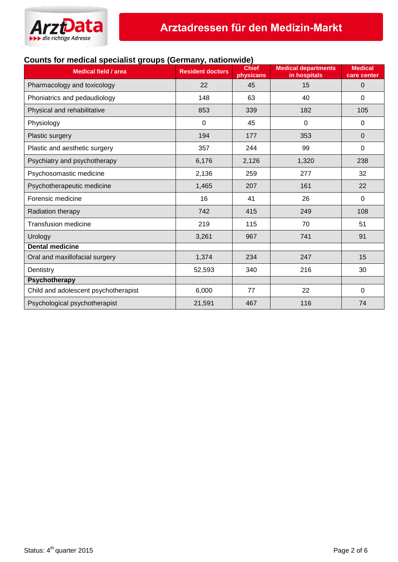

## **Counts for medical specialist groups (Germany, nationwide)**

| <b>Medical field / area</b>          | <b>Resident doctors</b> | <b>Chief</b><br>physicans | <b>Medical departments</b><br>in hospitals | <b>Medical</b><br>care center |
|--------------------------------------|-------------------------|---------------------------|--------------------------------------------|-------------------------------|
| Pharmacology and toxicology          | 22                      | 45                        | 15                                         | 0                             |
| Phoniatrics and pedaudiology         | 148                     | 63                        | 40                                         | 0                             |
| Physical and rehabilitative          | 853                     | 339                       | 182                                        | 105                           |
| Physiology                           | $\pmb{0}$               | 45                        | $\mathbf 0$                                | $\boldsymbol{0}$              |
| Plastic surgery                      | 194                     | 177                       | 353                                        | 0                             |
| Plastic and aesthetic surgery        | 357                     | 244                       | 99                                         | 0                             |
| Psychiatry and psychotherapy         | 6,176                   | 2,126                     | 1,320                                      | 238                           |
| Psychosomastic medicine              | 2,136                   | 259                       | 277                                        | 32                            |
| Psychotherapeutic medicine           | 1,465                   | 207                       | 161                                        | 22                            |
| Forensic medicine                    | 16                      | 41                        | 26                                         | $\Omega$                      |
| Radiation therapy                    | 742                     | 415                       | 249                                        | 108                           |
| <b>Transfusion medicine</b>          | 219                     | 115                       | 70                                         | 51                            |
| Urology                              | 3,261                   | 967                       | 741                                        | 91                            |
| <b>Dental medicine</b>               |                         |                           |                                            |                               |
| Oral and maxillofacial surgery       | 1,374                   | 234                       | 247                                        | 15                            |
| Dentistry                            | 52,593                  | 340                       | 216                                        | 30                            |
| <b>Psychotherapy</b>                 |                         |                           |                                            |                               |
| Child and adolescent psychotherapist | 6,000                   | 77                        | 22                                         | $\mathbf 0$                   |
| Psychological psychotherapist        | 21,591                  | 467                       | 116                                        | 74                            |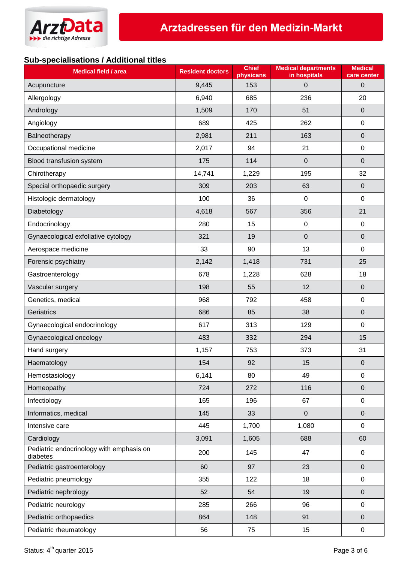

## **Sub-specialisations / Additional titles**

| <b>Medical field / area</b>                          | <b>Resident doctors</b> | <b>Chief</b><br>physicans | <b>Medical departments</b><br>in hospitals | <b>Medical</b><br>care center |
|------------------------------------------------------|-------------------------|---------------------------|--------------------------------------------|-------------------------------|
| Acupuncture                                          | 9,445                   | 153                       | $\mathbf 0$                                | $\pmb{0}$                     |
| Allergology                                          | 6,940                   | 685                       | 236                                        | 20                            |
| Andrology                                            | 1,509                   | 170                       | 51                                         | $\pmb{0}$                     |
| Angiology                                            | 689                     | 425                       | 262                                        | $\pmb{0}$                     |
| Balneotherapy                                        | 2,981                   | 211                       | 163                                        | $\pmb{0}$                     |
| Occupational medicine                                | 2,017                   | 94                        | 21                                         | $\pmb{0}$                     |
| Blood transfusion system                             | 175                     | 114                       | $\boldsymbol{0}$                           | $\pmb{0}$                     |
| Chirotherapy                                         | 14,741                  | 1,229                     | 195                                        | 32                            |
| Special orthopaedic surgery                          | 309                     | 203                       | 63                                         | $\pmb{0}$                     |
| Histologic dermatology                               | 100                     | 36                        | $\mathbf 0$                                | 0                             |
| Diabetology                                          | 4,618                   | 567                       | 356                                        | 21                            |
| Endocrinology                                        | 280                     | 15                        | $\mathbf 0$                                | $\pmb{0}$                     |
| Gynaecological exfoliative cytology                  | 321                     | 19                        | $\boldsymbol{0}$                           | $\pmb{0}$                     |
| Aerospace medicine                                   | 33                      | 90                        | 13                                         | $\pmb{0}$                     |
| Forensic psychiatry                                  | 2,142                   | 1,418                     | 731                                        | 25                            |
| Gastroenterology                                     | 678                     | 1,228                     | 628                                        | 18                            |
| Vascular surgery                                     | 198                     | 55                        | 12                                         | $\pmb{0}$                     |
| Genetics, medical                                    | 968                     | 792                       | 458                                        | $\pmb{0}$                     |
| Geriatrics                                           | 686                     | 85                        | 38                                         | $\mathbf 0$                   |
| Gynaecological endocrinology                         | 617                     | 313                       | 129                                        | $\pmb{0}$                     |
| Gynaecological oncology                              | 483                     | 332                       | 294                                        | 15                            |
| Hand surgery                                         | 1,157                   | 753                       | 373                                        | 31                            |
| Haematology                                          | 154                     | 92                        | 15                                         | $\pmb{0}$                     |
| Hemostasiology                                       | 6,141                   | 80                        | 49                                         | $\pmb{0}$                     |
| Homeopathy                                           | 724                     | 272                       | 116                                        | $\pmb{0}$                     |
| Infectiology                                         | 165                     | 196                       | 67                                         | $\pmb{0}$                     |
| Informatics, medical                                 | 145                     | 33                        | $\mathbf 0$                                | $\pmb{0}$                     |
| Intensive care                                       | 445                     | 1,700                     | 1,080                                      | $\mathsf 0$                   |
| Cardiology                                           | 3,091                   | 1,605                     | 688                                        | 60                            |
| Pediatric endocrinology with emphasis on<br>diabetes | 200                     | 145                       | 47                                         | $\pmb{0}$                     |
| Pediatric gastroenterology                           | 60                      | 97                        | 23                                         | $\pmb{0}$                     |
| Pediatric pneumology                                 | 355                     | 122                       | 18                                         | $\pmb{0}$                     |
| Pediatric nephrology                                 | 52                      | 54                        | 19                                         | $\pmb{0}$                     |
| Pediatric neurology                                  | 285                     | 266                       | 96                                         | $\pmb{0}$                     |
| Pediatric orthopaedics                               | 864                     | 148                       | 91                                         | $\pmb{0}$                     |
| Pediatric rheumatology                               | 56                      | 75                        | 15                                         | $\pmb{0}$                     |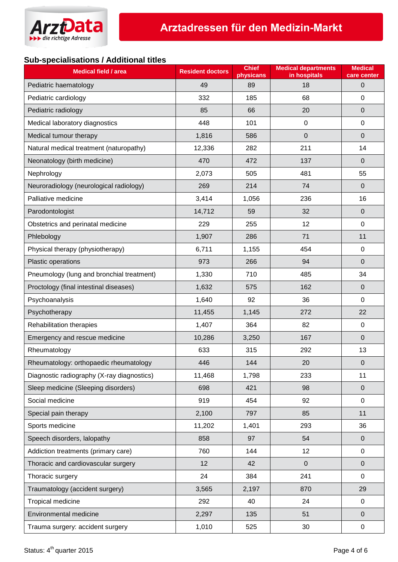

## **Sub-specialisations / Additional titles**

| <b>Medical field / area</b>                | <b>Resident doctors</b> | <b>Chief</b><br>physicans | <b>Medical departments</b><br>in hospitals | <b>Medical</b><br>care center |
|--------------------------------------------|-------------------------|---------------------------|--------------------------------------------|-------------------------------|
| Pediatric haematology                      | 49                      | 89                        | 18                                         | $\mathbf 0$                   |
| Pediatric cardiology                       | 332                     | 185                       | 68                                         | $\mathbf 0$                   |
| Pediatric radiology                        | 85                      | 66                        | 20                                         | $\mathbf 0$                   |
| Medical laboratory diagnostics             | 448                     | 101                       | $\mathbf 0$                                | $\mathbf 0$                   |
| Medical tumour therapy                     | 1,816                   | 586                       | $\mathbf 0$                                | $\mathbf 0$                   |
| Natural medical treatment (naturopathy)    | 12,336                  | 282                       | 211                                        | 14                            |
| Neonatology (birth medicine)               | 470                     | 472                       | 137                                        | $\mathbf 0$                   |
| Nephrology                                 | 2,073                   | 505                       | 481                                        | 55                            |
| Neuroradiology (neurological radiology)    | 269                     | 214                       | 74                                         | $\Omega$                      |
| Palliative medicine                        | 3,414                   | 1,056                     | 236                                        | 16                            |
| Parodontologist                            | 14,712                  | 59                        | 32                                         | $\mathbf 0$                   |
| Obstetrics and perinatal medicine          | 229                     | 255                       | 12                                         | $\mathbf 0$                   |
| Phlebology                                 | 1,907                   | 286                       | 71                                         | 11                            |
| Physical therapy (physiotherapy)           | 6,711                   | 1,155                     | 454                                        | $\mathbf 0$                   |
| Plastic operations                         | 973                     | 266                       | 94                                         | $\Omega$                      |
| Pneumology (lung and bronchial treatment)  | 1,330                   | 710                       | 485                                        | 34                            |
| Proctology (final intestinal diseases)     | 1,632                   | 575                       | 162                                        | $\mathbf 0$                   |
| Psychoanalysis                             | 1,640                   | 92                        | 36                                         | 0                             |
| Psychotherapy                              | 11,455                  | 1,145                     | 272                                        | 22                            |
| Rehabilitation therapies                   | 1,407                   | 364                       | 82                                         | 0                             |
| Emergency and rescue medicine              | 10,286                  | 3,250                     | 167                                        | $\mathbf 0$                   |
| Rheumatology                               | 633                     | 315                       | 292                                        | 13                            |
| Rheumatology: orthopaedic rheumatology     | 446                     | 144                       | 20                                         | $\mathbf 0$                   |
| Diagnostic radiography (X-ray diagnostics) | 11,468                  | 1,798                     | 233                                        | 11                            |
| Sleep medicine (Sleeping disorders)        | 698                     | 421                       | 98                                         | $\mathbf 0$                   |
| Social medicine                            | 919                     | 454                       | 92                                         | $\pmb{0}$                     |
| Special pain therapy                       | 2,100                   | 797                       | 85                                         | 11                            |
| Sports medicine                            | 11,202                  | 1,401                     | 293                                        | 36                            |
| Speech disorders, lalopathy                | 858                     | 97                        | 54                                         | $\mathbf 0$                   |
| Addiction treatments (primary care)        | 760                     | 144                       | 12                                         | 0                             |
| Thoracic and cardiovascular surgery        | 12                      | 42                        | $\pmb{0}$                                  | $\pmb{0}$                     |
| Thoracic surgery                           | 24                      | 384                       | 241                                        | $\pmb{0}$                     |
| Traumatology (accident surgery)            | 3,565                   | 2,197                     | 870                                        | 29                            |
| Tropical medicine                          | 292                     | 40                        | 24                                         | $\pmb{0}$                     |
| Environmental medicine                     | 2,297                   | 135                       | 51                                         | $\pmb{0}$                     |
| Trauma surgery: accident surgery           | 1,010                   | 525                       | 30                                         | 0                             |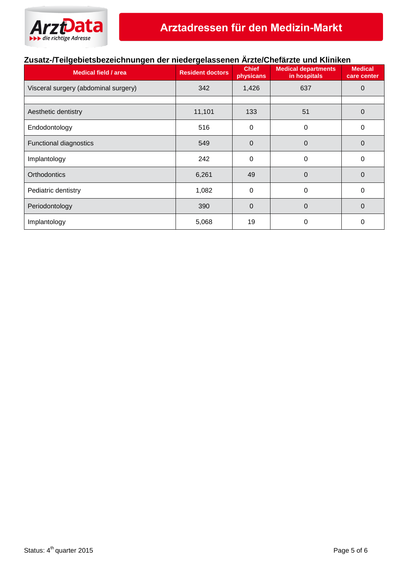

# **Zusatz-/Teilgebietsbezeichnungen der niedergelassenen Ärzte/Chefärzte und Kliniken**

| <b>Medical field / area</b>          | <b>Resident doctors</b> | <b>Chief</b><br>physicans | <b>Medical departments</b><br>in hospitals | <b>Medical</b><br>care center |
|--------------------------------------|-------------------------|---------------------------|--------------------------------------------|-------------------------------|
| Visceral surgery (abdominal surgery) | 342                     | 1,426                     | 637                                        | 0                             |
|                                      |                         |                           |                                            |                               |
| Aesthetic dentistry                  | 11,101                  | 133                       | 51                                         | 0                             |
| Endodontology                        | 516                     | 0                         | 0                                          | 0                             |
| <b>Functional diagnostics</b>        | 549                     | 0                         | 0                                          | 0                             |
| Implantology                         | 242                     | 0                         | 0                                          | 0                             |
| <b>Orthodontics</b>                  | 6,261                   | 49                        | $\Omega$                                   | 0                             |
| Pediatric dentistry                  | 1,082                   | 0                         | 0                                          | 0                             |
| Periodontology                       | 390                     | $\Omega$                  | $\Omega$                                   | $\Omega$                      |
| Implantology                         | 5,068                   | 19                        | 0                                          | 0                             |